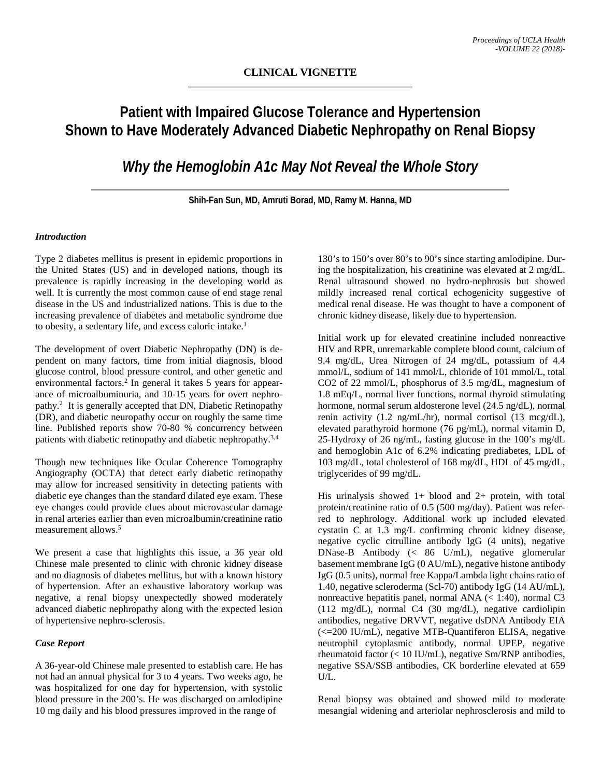# **Patient with Impaired Glucose Tolerance and Hypertension Shown to Have Moderately Advanced Diabetic Nephropathy on Renal Biopsy**

*Why the Hemoglobin A1c May Not Reveal the Whole Story*

**Shih-Fan Sun, MD, Amruti Borad, MD, Ramy M. Hanna, MD**

## *Introduction*

Type 2 diabetes mellitus is present in epidemic proportions in the United States (US) and in developed nations, though its prevalence is rapidly increasing in the developing world as well. It is currently the most common cause of end stage renal disease in the US and industrialized nations. This is due to the increasing prevalence of diabetes and metabolic syndrome due to obesity, a sedentary life, and excess caloric intake.1

The development of overt Diabetic Nephropathy (DN) is dependent on many factors, time from initial diagnosis, blood glucose control, blood pressure control, and other genetic and environmental factors.<sup>2</sup> In general it takes 5 years for appearance of microalbuminuria, and 10-15 years for overt nephropathy.<sup>2</sup> It is generally accepted that DN, Diabetic Retinopathy (DR), and diabetic neuropathy occur on roughly the same time line. Published reports show 70-80 % concurrency between patients with diabetic retinopathy and diabetic nephropathy.3,4

Though new techniques like Ocular Coherence Tomography Angiography (OCTA) that detect early diabetic retinopathy may allow for increased sensitivity in detecting patients with diabetic eye changes than the standard dilated eye exam. These eye changes could provide clues about microvascular damage in renal arteries earlier than even microalbumin/creatinine ratio measurement allows.5

We present a case that highlights this issue, a 36 year old Chinese male presented to clinic with chronic kidney disease and no diagnosis of diabetes mellitus, but with a known history of hypertension. After an exhaustive laboratory workup was negative, a renal biopsy unexpectedly showed moderately advanced diabetic nephropathy along with the expected lesion of hypertensive nephro-sclerosis.

# *Case Report*

A 36-year-old Chinese male presented to establish care. He has not had an annual physical for 3 to 4 years. Two weeks ago, he was hospitalized for one day for hypertension, with systolic blood pressure in the 200's. He was discharged on amlodipine 10 mg daily and his blood pressures improved in the range of

130's to 150's over 80's to 90's since starting amlodipine. During the hospitalization, his creatinine was elevated at 2 mg/dL. Renal ultrasound showed no hydro-nephrosis but showed mildly increased renal cortical echogenicity suggestive of medical renal disease. He was thought to have a component of chronic kidney disease, likely due to hypertension.

Initial work up for elevated creatinine included nonreactive HIV and RPR, unremarkable complete blood count, calcium of 9.4 mg/dL, Urea Nitrogen of 24 mg/dL, potassium of 4.4 mmol/L, sodium of 141 mmol/L, chloride of 101 mmol/L, total CO2 of 22 mmol/L, phosphorus of 3.5 mg/dL, magnesium of 1.8 mEq/L, normal liver functions, normal thyroid stimulating hormone, normal serum aldosterone level (24.5 ng/dL), normal renin activity (1.2 ng/mL/hr), normal cortisol (13 mcg/dL), elevated parathyroid hormone (76 pg/mL), normal vitamin D, 25-Hydroxy of 26 ng/mL, fasting glucose in the 100's mg/dL and hemoglobin A1c of 6.2% indicating prediabetes, LDL of 103 mg/dL, total cholesterol of 168 mg/dL, HDL of 45 mg/dL, triglycerides of 99 mg/dL.

His urinalysis showed 1+ blood and 2+ protein, with total protein/creatinine ratio of 0.5 (500 mg/day). Patient was referred to nephrology. Additional work up included elevated cystatin C at 1.3 mg/L confirming chronic kidney disease, negative cyclic citrulline antibody IgG (4 units), negative DNase-B Antibody (< 86 U/mL), negative glomerular basement membrane IgG (0 AU/mL), negative histone antibody IgG (0.5 units), normal free Kappa/Lambda light chains ratio of 1.40, negative scleroderma (Scl-70) antibody IgG (14 AU/mL), nonreactive hepatitis panel, normal ANA  $\ll$  1:40), normal C3 (112 mg/dL), normal C4 (30 mg/dL), negative cardiolipin antibodies, negative DRVVT, negative dsDNA Antibody EIA (<=200 IU/mL), negative MTB-Quantiferon ELISA, negative neutrophil cytoplasmic antibody, normal UPEP, negative rheumatoid factor (< 10 IU/mL), negative Sm/RNP antibodies, negative SSA/SSB antibodies, CK borderline elevated at 659 U/L.

Renal biopsy was obtained and showed mild to moderate mesangial widening and arteriolar nephrosclerosis and mild to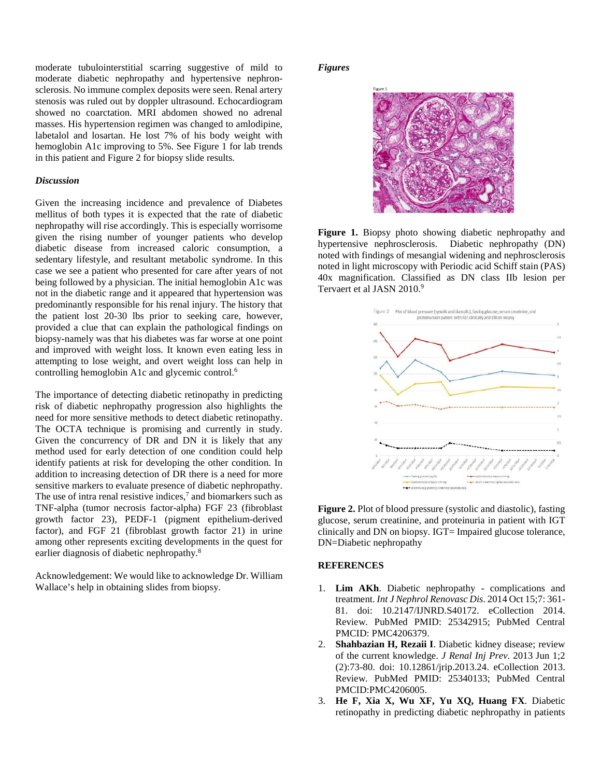moderate tubulointerstitial scarring suggestive of mild to moderate diabetic nephropathy and hypertensive nephronsclerosis. No immune complex deposits were seen. Renal artery stenosis was ruled out by doppler ultrasound. Echocardiogram showed no coarctation. MRI abdomen showed no adrenal masses. His hypertension regimen was changed to amlodipine, labetalol and losartan. He lost 7% of his body weight with hemoglobin A1c improving to 5%. See Figure 1 for lab trends in this patient and Figure 2 for biopsy slide results.

#### *Discussion*

Given the increasing incidence and prevalence of Diabetes mellitus of both types it is expected that the rate of diabetic nephropathy will rise accordingly. This is especially worrisome given the rising number of younger patients who develop diabetic disease from increased caloric consumption, a sedentary lifestyle, and resultant metabolic syndrome. In this case we see a patient who presented for care after years of not being followed by a physician. The initial hemoglobin A1c was not in the diabetic range and it appeared that hypertension was predominantly responsible for his renal injury. The history that the patient lost 20-30 lbs prior to seeking care, however, provided a clue that can explain the pathological findings on biopsy-namely was that his diabetes was far worse at one point and improved with weight loss. It known even eating less in attempting to lose weight, and overt weight loss can help in controlling hemoglobin A1c and glycemic control.6

The importance of detecting diabetic retinopathy in predicting risk of diabetic nephropathy progression also highlights the need for more sensitive methods to detect diabetic retinopathy. The OCTA technique is promising and currently in study. Given the concurrency of DR and DN it is likely that any method used for early detection of one condition could help identify patients at risk for developing the other condition. In addition to increasing detection of DR there is a need for more sensitive markers to evaluate presence of diabetic nephropathy. The use of intra renal resistive indices, $7$  and biomarkers such as TNF-alpha (tumor necrosis factor-alpha) FGF 23 (fibroblast growth factor 23), PEDF-1 (pigment epithelium-derived factor), and FGF 21 (fibroblast growth factor 21) in urine among other represents exciting developments in the quest for earlier diagnosis of diabetic nephropathy.8

Acknowledgement: We would like to acknowledge Dr. William Wallace's help in obtaining slides from biopsy.

### *Figures*



**Figure 1.** Biopsy photo showing diabetic nephropathy and hypertensive nephrosclerosis. Diabetic nephropathy (DN) noted with findings of mesangial widening and nephrosclerosis noted in light microscopy with Periodic acid Schiff stain (PAS) 40x magnification. Classified as DN class IIb lesion per Tervaert et al JASN 2010.<sup>9</sup>



**Figure 2.** Plot of blood pressure (systolic and diastolic), fasting glucose, serum creatinine, and proteinuria in patient with IGT clinically and DN on biopsy. IGT= Impaired glucose tolerance, DN=Diabetic nephropathy

#### **REFERENCES**

- 1. **Lim AKh**. Diabetic nephropathy complications and treatment. *Int J Nephrol Renovasc Dis*. 2014 Oct 15;7: 361- 81. doi: 10.2147/IJNRD.S40172. eCollection 2014. Review. PubMed PMID: 25342915; PubMed Central PMCID: PMC4206379.
- 2. **Shahbazian H, Rezaii I**. Diabetic kidney disease; review of the current knowledge. *J Renal Inj Prev*. 2013 Jun 1;2 (2):73-80. doi: 10.12861/jrip.2013.24. eCollection 2013. Review. PubMed PMID: 25340133; PubMed Central PMCID:PMC4206005.
- 3. **He F, Xia X, Wu XF, Yu XQ, Huang FX**. Diabetic retinopathy in predicting diabetic nephropathy in patients